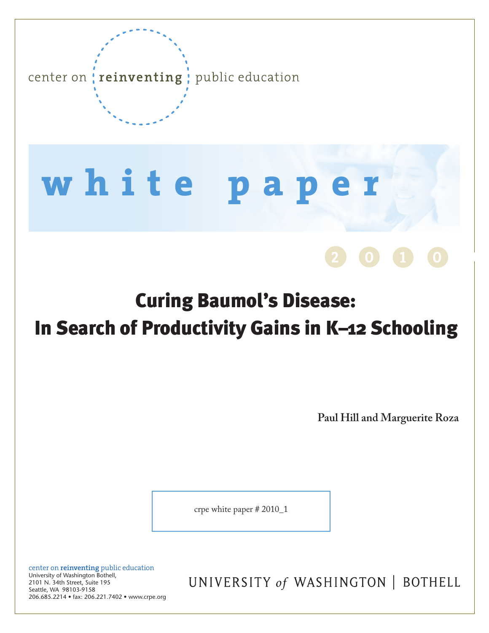

# **w h i t e p a p e r**

# Curing Baumol's Disease: In Search of Productivity Gains in K–12 Schooling

**Paul Hill and Marguerite Roza**

**2 (0) 1 0 1** 

crpe white paper # 2010\_1

center on **reinventing** public education University of Washington Bothell, 2101 N. 34th Street, Suite 195 Seattle, WA 98103-9158 206.685.2214 • fax: 206.221.7402 • www.crpe.org

UNIVERSITY of WASHINGTON | BOTHELL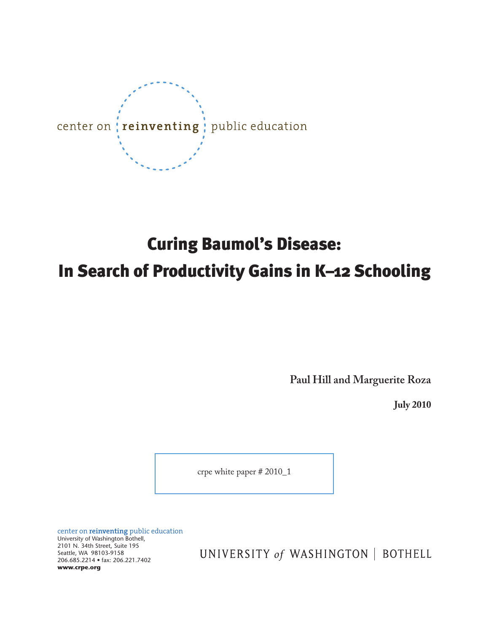

# Curing Baumol's Disease: In Search of Productivity Gains in K–12 Schooling

**Paul Hill and Marguerite Roza**

**July 2010**

crpe white paper # 2010\_1

center on **reinventing** public education University of Washington Bothell, 2101 N. 34th Street, Suite 195 Seattle, WA 98103-9158 206.685.2214 • fax: 206.221.7402 **www.crpe.org**

UNIVERSITY of WASHINGTON | BOTHELL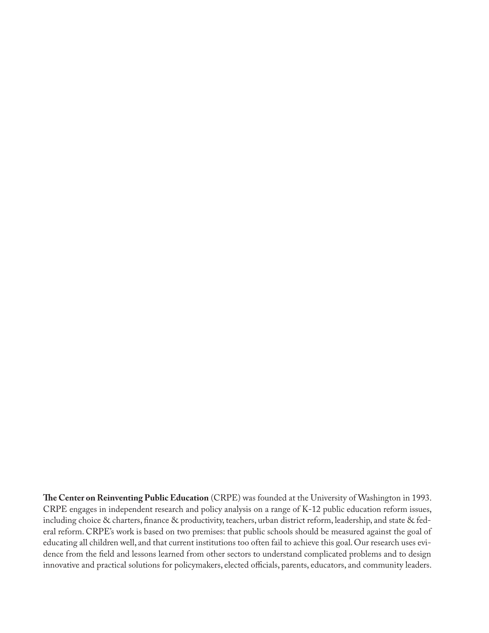**The Center on Reinventing Public Education** (CRPE) was founded at the University of Washington in 1993. CRPE engages in independent research and policy analysis on a range of K-12 public education reform issues, including choice & charters, finance & productivity, teachers, urban district reform, leadership, and state & federal reform. CRPE's work is based on two premises: that public schools should be measured against the goal of educating all children well, and that current institutions too often fail to achieve this goal. Our research uses evidence from the field and lessons learned from other sectors to understand complicated problems and to design innovative and practical solutions for policymakers, elected officials, parents, educators, and community leaders.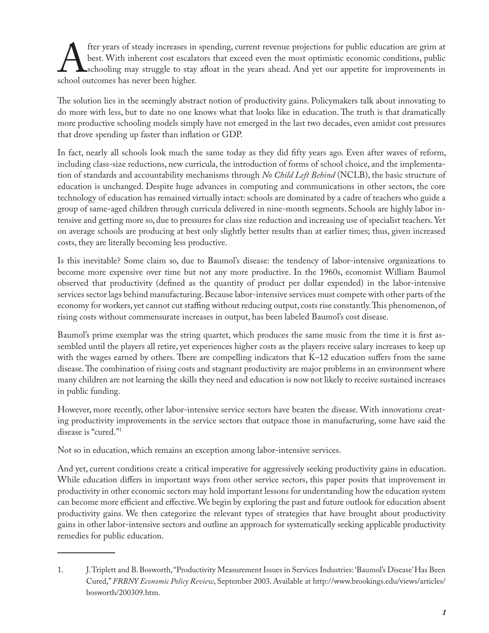the years of steady increases in spending, current revenue projections for public education are grim at best. With inherent cost escalators that exceed even the most optimistic economic conditions, public school outcomes h best. With inherent cost escalators that exceed even the most optimistic economic conditions, public schooling may struggle to stay afloat in the years ahead. And yet our appetite for improvements in school outcomes has never been higher.

The solution lies in the seemingly abstract notion of productivity gains. Policymakers talk about innovating to do more with less, but to date no one knows what that looks like in education. The truth is that dramatically more productive schooling models simply have not emerged in the last two decades, even amidst cost pressures that drove spending up faster than inflation or GDP.

In fact, nearly all schools look much the same today as they did fifty years ago. Even after waves of reform, including class-size reductions, new curricula, the introduction of forms of school choice, and the implementation of standards and accountability mechanisms through *No Child Left Behind* (NCLB), the basic structure of education is unchanged. Despite huge advances in computing and communications in other sectors, the core technology of education has remained virtually intact: schools are dominated by a cadre of teachers who guide a group of same-aged children through curricula delivered in nine-month segments. Schools are highly labor intensive and getting more so, due to pressures for class size reduction and increasing use of specialist teachers. Yet on average schools are producing at best only slightly better results than at earlier times; thus, given increased costs, they are literally becoming less productive.

Is this inevitable? Some claim so, due to Baumol's disease: the tendency of labor-intensive organizations to become more expensive over time but not any more productive. In the 1960s, economist William Baumol observed that productivity (defined as the quantity of product per dollar expended) in the labor-intensive services sector lags behind manufacturing. Because labor-intensive services must compete with other parts of the economy for workers, yet cannot cut staffing without reducing output, costs rise constantly. This phenomenon, of rising costs without commensurate increases in output, has been labeled Baumol's cost disease.

Baumol's prime exemplar was the string quartet, which produces the same music from the time it is first assembled until the players all retire, yet experiences higher costs as the players receive salary increases to keep up with the wages earned by others. There are compelling indicators that K-12 education suffers from the same disease. The combination of rising costs and stagnant productivity are major problems in an environment where many children are not learning the skills they need and education is now not likely to receive sustained increases in public funding.

However, more recently, other labor-intensive service sectors have beaten the disease. With innovations creating productivity improvements in the service sectors that outpace those in manufacturing, some have said the disease is "cured."1

Not so in education, which remains an exception among labor-intensive services.

And yet, current conditions create a critical imperative for aggressively seeking productivity gains in education. While education differs in important ways from other service sectors, this paper posits that improvement in productivity in other economic sectors may hold important lessons for understanding how the education system can become more efficient and effective. We begin by exploring the past and future outlook for education absent productivity gains. We then categorize the relevant types of strategies that have brought about productivity gains in other labor-intensive sectors and outline an approach for systematically seeking applicable productivity remedies for public education.

<sup>1.</sup> J. Triplett and B. Bosworth, "Productivity Measurement Issues in Services Industries: 'Baumol's Disease' Has Been Cured," *FRBNY Economic Policy Review*, September 2003. Available at http://www.brookings.edu/views/articles/ bosworth/200309.htm.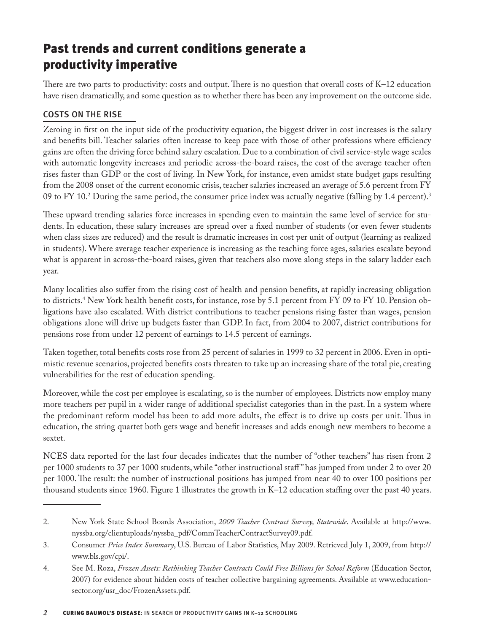# Past trends and current conditions generate a productivity imperative

There are two parts to productivity: costs and output. There is no question that overall costs of K–12 education have risen dramatically, and some question as to whether there has been any improvement on the outcome side.

#### Costs on the rise

Zeroing in first on the input side of the productivity equation, the biggest driver in cost increases is the salary and benefits bill. Teacher salaries often increase to keep pace with those of other professions where efficiency gains are often the driving force behind salary escalation. Due to a combination of civil service-style wage scales with automatic longevity increases and periodic across-the-board raises, the cost of the average teacher often rises faster than GDP or the cost of living. In New York, for instance, even amidst state budget gaps resulting from the 2008 onset of the current economic crisis, teacher salaries increased an average of 5.6 percent from FY 09 to FY 10.<sup>2</sup> During the same period, the consumer price index was actually negative (falling by 1.4 percent).<sup>3</sup>

These upward trending salaries force increases in spending even to maintain the same level of service for students. In education, these salary increases are spread over a fixed number of students (or even fewer students when class sizes are reduced) and the result is dramatic increases in cost per unit of output (learning as realized in students). Where average teacher experience is increasing as the teaching force ages, salaries escalate beyond what is apparent in across-the-board raises, given that teachers also move along steps in the salary ladder each year.

Many localities also suffer from the rising cost of health and pension benefits, at rapidly increasing obligation to districts.4 New York health benefit costs, for instance, rose by 5.1 percent from FY 09 to FY 10. Pension obligations have also escalated. With district contributions to teacher pensions rising faster than wages, pension obligations alone will drive up budgets faster than GDP. In fact, from 2004 to 2007, district contributions for pensions rose from under 12 percent of earnings to 14.5 percent of earnings.

Taken together, total benefits costs rose from 25 percent of salaries in 1999 to 32 percent in 2006. Even in optimistic revenue scenarios, projected benefits costs threaten to take up an increasing share of the total pie, creating vulnerabilities for the rest of education spending.

Moreover, while the cost per employee is escalating, so is the number of employees. Districts now employ many more teachers per pupil in a wider range of additional specialist categories than in the past. In a system where the predominant reform model has been to add more adults, the effect is to drive up costs per unit. Thus in education, the string quartet both gets wage and benefit increases and adds enough new members to become a sextet.

NCES data reported for the last four decades indicates that the number of "other teachers" has risen from 2 per 1000 students to 37 per 1000 students, while "other instructional staff " has jumped from under 2 to over 20 per 1000. The result: the number of instructional positions has jumped from near 40 to over 100 positions per thousand students since 1960. Figure 1 illustrates the growth in K–12 education staffing over the past 40 years.

<sup>2.</sup> New York State School Boards Association, *2009 Teacher Contract Survey, Statewide*. Available at http://www. nyssba.org/clientuploads/nyssba\_pdf/CommTeacherContractSurvey09.pdf.

<sup>3.</sup> Consumer *Price Index Summary*, U.S. Bureau of Labor Statistics, May 2009. Retrieved July 1, 2009, from http:// www.bls.gov/cpi/.

<sup>4.</sup> See M. Roza, *Frozen Assets: Rethinking Teacher Contracts Could Free Billions for School Reform* (Education Sector, 2007) for evidence about hidden costs of teacher collective bargaining agreements. Available at www.educationsector.org/usr\_doc/FrozenAssets.pdf.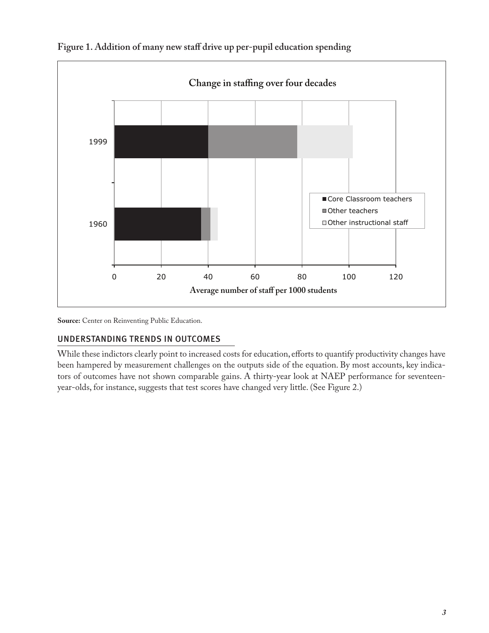

**Figure 1. Addition of many new staff drive up per-pupil education spending**

**Source:** Center on Reinventing Public Education.

#### Understanding trends in outcomes

While these indictors clearly point to increased costs for education, efforts to quantify productivity changes have been hampered by measurement challenges on the outputs side of the equation. By most accounts, key indicators of outcomes have not shown comparable gains. A thirty-year look at NAEP performance for seventeenyear-olds, for instance, suggests that test scores have changed very little. (See Figure 2.)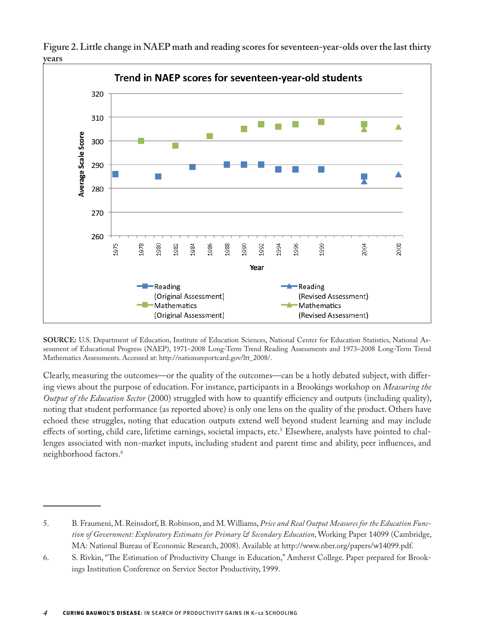

**Figure 2. Little change in NAEP math and reading scores for seventeen-year-olds over the last thirty years**

**SOURCE:** U.S. Department of Education, Institute of Education Sciences, National Center for Education Statistics, National Assessment of Educational Progress (NAEP), 1971–2008 Long-Term Trend Reading Assessments and 1973–2008 Long-Term Trend Mathematics Assessments. Accessed at: http://nationsreportcard.gov/ltt\_2008/.

Clearly, measuring the outcomes—or the quality of the outcomes—can be a hotly debated subject, with differing views about the purpose of education. For instance, participants in a Brookings workshop on *Measuring the Output of the Education Sector* (2000) struggled with how to quantify efficiency and outputs (including quality), noting that student performance (as reported above) is only one lens on the quality of the product. Others have echoed these struggles, noting that education outputs extend well beyond student learning and may include effects of sorting, child care, lifetime earnings, societal impacts, etc.<sup>5</sup> Elsewhere, analysts have pointed to challenges associated with non-market inputs, including student and parent time and ability, peer influences, and neighborhood factors.6

<sup>5.</sup> B. Fraumeni, M. Reinsdorf, B. Robinson, and M. Williams, *Price and Real Output Measures for the Education Function of Government: Exploratory Estimates for Primary & Secondary Education*, Working Paper 14099 (Cambridge, MA: National Bureau of Economic Research, 2008). Available at http://www.nber.org/papers/w14099.pdf.

<sup>6.</sup> S. Rivkin, "The Estimation of Productivity Change in Education," Amherst College. Paper prepared for Brookings Institution Conference on Service Sector Productivity, 1999.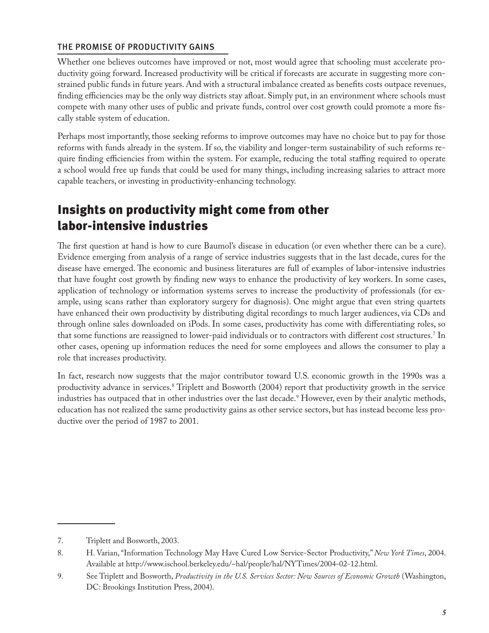#### The promise of productivity gains

Whether one believes outcomes have improved or not, most would agree that schooling must accelerate productivity going forward. Increased productivity will be critical if forecasts are accurate in suggesting more constrained public funds in future years. And with a structural imbalance created as benefits costs outpace revenues, finding efficiencies may be the only way districts stay afloat. Simply put, in an environment where schools must compete with many other uses of public and private funds, control over cost growth could promote a more fiscally stable system of education.

Perhaps most importantly, those seeking reforms to improve outcomes may have no choice but to pay for those reforms with funds already in the system. If so, the viability and longer-term sustainability of such reforms require finding efficiencies from within the system. For example, reducing the total staffing required to operate a school would free up funds that could be used for many things, including increasing salaries to attract more capable teachers, or investing in productivity-enhancing technology.

### Insights on productivity might come from other labor-intensive industries

The first question at hand is how to cure Baumol's disease in education (or even whether there can be a cure). Evidence emerging from analysis of a range of service industries suggests that in the last decade, cures for the disease have emerged. The economic and business literatures are full of examples of labor-intensive industries that have fought cost growth by finding new ways to enhance the productivity of key workers. In some cases, application of technology or information systems serves to increase the productivity of professionals (for example, using scans rather than exploratory surgery for diagnosis). One might argue that even string quartets have enhanced their own productivity by distributing digital recordings to much larger audiences, via CDs and through online sales downloaded on iPods. In some cases, productivity has come with differentiating roles, so that some functions are reassigned to lower-paid individuals or to contractors with different cost structures.7 In other cases, opening up information reduces the need for some employees and allows the consumer to play a role that increases productivity.

In fact, research now suggests that the major contributor toward U.S. economic growth in the 1990s was a productivity advance in services.8 Triplett and Bosworth (2004) report that productivity growth in the service industries has outpaced that in other industries over the last decade.9 However, even by their analytic methods, education has not realized the same productivity gains as other service sectors, but has instead become less productive over the period of 1987 to 2001.

<sup>7.</sup> Triplett and Bosworth, 2003.

<sup>8.</sup> H. Varian, "Information Technology May Have Cured Low Service-Sector Productivity," *New York Times*, 2004. Available at http://www.ischool.berkeley.edu/~hal/people/hal/NYTimes/2004-02-12.html.

<sup>9.</sup> See Triplett and Bosworth, *Productivity in the U.S. Services Sector: New Sources of Economic Growth* (Washington, DC: Brookings Institution Press, 2004).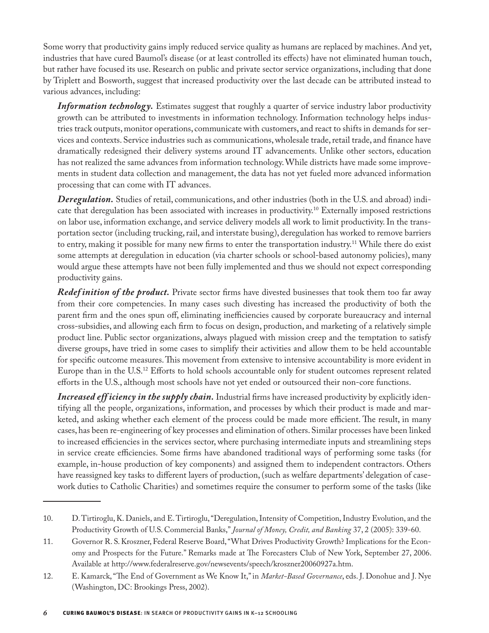Some worry that productivity gains imply reduced service quality as humans are replaced by machines. And yet, industries that have cured Baumol's disease (or at least controlled its effects) have not eliminated human touch, but rather have focused its use. Research on public and private sector service organizations, including that done by Triplett and Bosworth, suggest that increased productivity over the last decade can be attributed instead to various advances, including:

*Information technology*. Estimates suggest that roughly a quarter of service industry labor productivity growth can be attributed to investments in information technology. Information technology helps industries track outputs, monitor operations, communicate with customers, and react to shifts in demands for services and contexts. Service industries such as communications, wholesale trade, retail trade, and finance have dramatically redesigned their delivery systems around IT advancements. Unlike other sectors, education has not realized the same advances from information technology. While districts have made some improvements in student data collection and management, the data has not yet fueled more advanced information processing that can come with IT advances.

*Deregulation.* Studies of retail, communications, and other industries (both in the U.S. and abroad) indicate that deregulation has been associated with increases in productivity.10 Externally imposed restrictions on labor use, information exchange, and service delivery models all work to limit productivity. In the transportation sector (including trucking, rail, and interstate busing), deregulation has worked to remove barriers to entry, making it possible for many new firms to enter the transportation industry.<sup>11</sup> While there do exist some attempts at deregulation in education (via charter schools or school-based autonomy policies), many would argue these attempts have not been fully implemented and thus we should not expect corresponding productivity gains.

*Redef inition of the product*. Private sector firms have divested businesses that took them too far away from their core competencies. In many cases such divesting has increased the productivity of both the parent firm and the ones spun off, eliminating inefficiencies caused by corporate bureaucracy and internal cross-subsidies, and allowing each firm to focus on design, production, and marketing of a relatively simple product line. Public sector organizations, always plagued with mission creep and the temptation to satisfy diverse groups, have tried in some cases to simplify their activities and allow them to be held accountable for specific outcome measures. This movement from extensive to intensive accountability is more evident in Europe than in the U.S.<sup>12</sup> Efforts to hold schools accountable only for student outcomes represent related efforts in the U.S., although most schools have not yet ended or outsourced their non-core functions.

*Increased eff iciency in the supply chain.* Industrial firms have increased productivity by explicitly identifying all the people, organizations, information, and processes by which their product is made and marketed, and asking whether each element of the process could be made more efficient. The result, in many cases, has been re-engineering of key processes and elimination of others. Similar processes have been linked to increased efficiencies in the services sector, where purchasing intermediate inputs and streamlining steps in service create efficiencies. Some firms have abandoned traditional ways of performing some tasks (for example, in-house production of key components) and assigned them to independent contractors. Others have reassigned key tasks to different layers of production, (such as welfare departments' delegation of casework duties to Catholic Charities) and sometimes require the consumer to perform some of the tasks (like

<sup>10.</sup> D. Tirtiroglu, K. Daniels, and E. Tirtiroglu, "Deregulation, Intensity of Competition, Industry Evolution, and the Productivity Growth of U.S. Commercial Banks," *Journal of Money, Credit, and Banking* 37, 2 (2005): 339-60.

<sup>11.</sup> Governor R. S. Kroszner, Federal Reserve Board, "What Drives Productivity Growth? Implications for the Economy and Prospects for the Future." Remarks made at The Forecasters Club of New York, September 27, 2006. Available at http://www.federalreserve.gov/newsevents/speech/kroszner20060927a.htm.

<sup>12.</sup> E. Kamarck, "The End of Government as We Know It," in *Market-Based Governance*, eds. J. Donohue and J. Nye (Washington, DC: Brookings Press, 2002).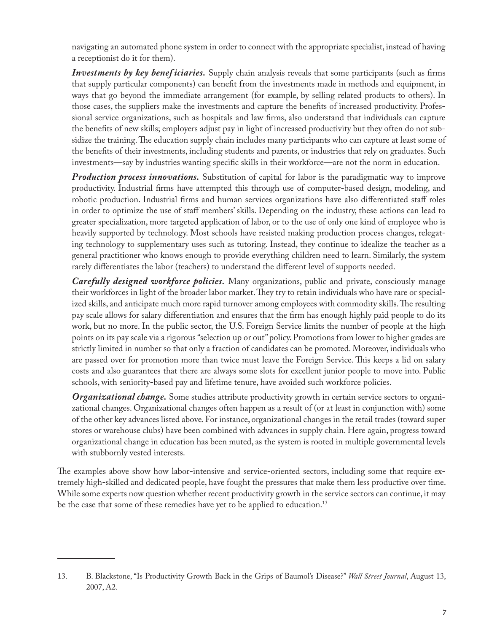navigating an automated phone system in order to connect with the appropriate specialist, instead of having a receptionist do it for them).

*Investments by key benef iciaries.* Supply chain analysis reveals that some participants (such as firms that supply particular components) can benefit from the investments made in methods and equipment, in ways that go beyond the immediate arrangement (for example, by selling related products to others). In those cases, the suppliers make the investments and capture the benefits of increased productivity. Professional service organizations, such as hospitals and law firms, also understand that individuals can capture the benefits of new skills; employers adjust pay in light of increased productivity but they often do not subsidize the training. The education supply chain includes many participants who can capture at least some of the benefits of their investments, including students and parents, or industries that rely on graduates. Such investments—say by industries wanting specific skills in their workforce—are not the norm in education.

*Production process innovations.* Substitution of capital for labor is the paradigmatic way to improve productivity. Industrial firms have attempted this through use of computer-based design, modeling, and robotic production. Industrial firms and human services organizations have also differentiated staff roles in order to optimize the use of staff members' skills. Depending on the industry, these actions can lead to greater specialization, more targeted application of labor, or to the use of only one kind of employee who is heavily supported by technology. Most schools have resisted making production process changes, relegating technology to supplementary uses such as tutoring. Instead, they continue to idealize the teacher as a general practitioner who knows enough to provide everything children need to learn. Similarly, the system rarely differentiates the labor (teachers) to understand the different level of supports needed.

*Carefully designed workforce policies.* Many organizations, public and private, consciously manage their workforces in light of the broader labor market. They try to retain individuals who have rare or specialized skills, and anticipate much more rapid turnover among employees with commodity skills. The resulting pay scale allows for salary differentiation and ensures that the firm has enough highly paid people to do its work, but no more. In the public sector, the U.S. Foreign Service limits the number of people at the high points on its pay scale via a rigorous "selection up or out" policy. Promotions from lower to higher grades are strictly limited in number so that only a fraction of candidates can be promoted. Moreover, individuals who are passed over for promotion more than twice must leave the Foreign Service. This keeps a lid on salary costs and also guarantees that there are always some slots for excellent junior people to move into. Public schools, with seniority-based pay and lifetime tenure, have avoided such workforce policies.

*Organizational change.* Some studies attribute productivity growth in certain service sectors to organizational changes. Organizational changes often happen as a result of (or at least in conjunction with) some of the other key advances listed above. For instance, organizational changes in the retail trades (toward super stores or warehouse clubs) have been combined with advances in supply chain. Here again, progress toward organizational change in education has been muted, as the system is rooted in multiple governmental levels with stubbornly vested interests.

The examples above show how labor-intensive and service-oriented sectors, including some that require extremely high-skilled and dedicated people, have fought the pressures that make them less productive over time. While some experts now question whether recent productivity growth in the service sectors can continue, it may be the case that some of these remedies have yet to be applied to education.<sup>13</sup>

<sup>13.</sup> B. Blackstone, "Is Productivity Growth Back in the Grips of Baumol's Disease?" *Wall Street Journal*, August 13, 2007, A2.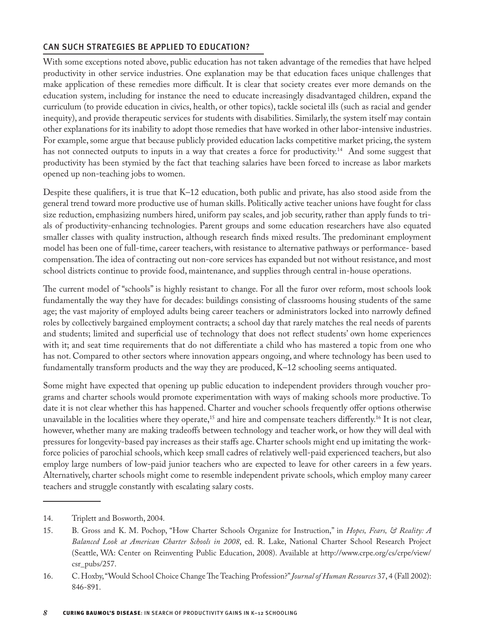#### Can such strategies be applied to education?

With some exceptions noted above, public education has not taken advantage of the remedies that have helped productivity in other service industries. One explanation may be that education faces unique challenges that make application of these remedies more difficult. It is clear that society creates ever more demands on the education system, including for instance the need to educate increasingly disadvantaged children, expand the curriculum (to provide education in civics, health, or other topics), tackle societal ills (such as racial and gender inequity), and provide therapeutic services for students with disabilities. Similarly, the system itself may contain other explanations for its inability to adopt those remedies that have worked in other labor-intensive industries. For example, some argue that because publicly provided education lacks competitive market pricing, the system has not connected outputs to inputs in a way that creates a force for productivity.<sup>14</sup> And some suggest that productivity has been stymied by the fact that teaching salaries have been forced to increase as labor markets opened up non-teaching jobs to women.

Despite these qualifiers, it is true that K–12 education, both public and private, has also stood aside from the general trend toward more productive use of human skills. Politically active teacher unions have fought for class size reduction, emphasizing numbers hired, uniform pay scales, and job security, rather than apply funds to trials of productivity-enhancing technologies. Parent groups and some education researchers have also equated smaller classes with quality instruction, although research finds mixed results. The predominant employment model has been one of full-time, career teachers, with resistance to alternative pathways or performance- based compensation. The idea of contracting out non-core services has expanded but not without resistance, and most school districts continue to provide food, maintenance, and supplies through central in-house operations.

The current model of "schools" is highly resistant to change. For all the furor over reform, most schools look fundamentally the way they have for decades: buildings consisting of classrooms housing students of the same age; the vast majority of employed adults being career teachers or administrators locked into narrowly defined roles by collectively bargained employment contracts; a school day that rarely matches the real needs of parents and students; limited and superficial use of technology that does not reflect students' own home experiences with it; and seat time requirements that do not differentiate a child who has mastered a topic from one who has not. Compared to other sectors where innovation appears ongoing, and where technology has been used to fundamentally transform products and the way they are produced, K–12 schooling seems antiquated.

Some might have expected that opening up public education to independent providers through voucher programs and charter schools would promote experimentation with ways of making schools more productive. To date it is not clear whether this has happened. Charter and voucher schools frequently offer options otherwise unavailable in the localities where they operate,<sup>15</sup> and hire and compensate teachers differently.<sup>16</sup> It is not clear, however, whether many are making tradeoffs between technology and teacher work, or how they will deal with pressures for longevity-based pay increases as their staffs age. Charter schools might end up imitating the workforce policies of parochial schools, which keep small cadres of relatively well-paid experienced teachers, but also employ large numbers of low-paid junior teachers who are expected to leave for other careers in a few years. Alternatively, charter schools might come to resemble independent private schools, which employ many career teachers and struggle constantly with escalating salary costs.

<sup>14.</sup> Triplett and Bosworth, 2004.

<sup>15.</sup> B. Gross and K. M. Pochop, "How Charter Schools Organize for Instruction," in *Hopes, Fears, & Reality: A Balanced Look at American Charter Schools in 2008*, ed. R. Lake, National Charter School Research Project (Seattle, WA: Center on Reinventing Public Education, 2008). Available at http://www.crpe.org/cs/crpe/view/ csr\_pubs/257.

<sup>16.</sup> C. Hoxby, "Would School Choice Change The Teaching Profession?" *Journal of Human Resources* 37, 4 (Fall 2002): 846-891.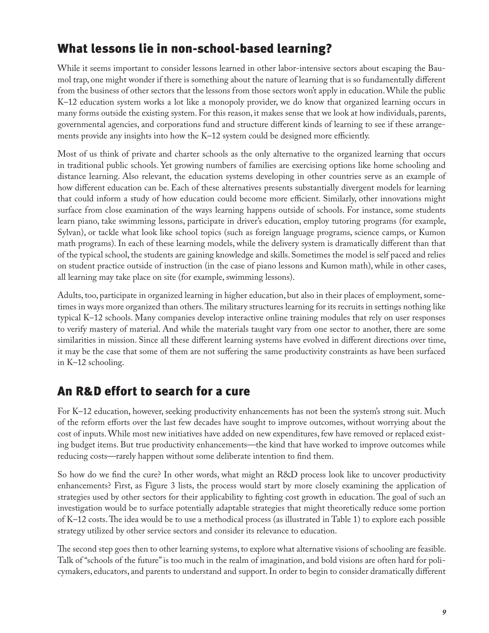# What lessons lie in non-school-based learning?

While it seems important to consider lessons learned in other labor-intensive sectors about escaping the Baumol trap, one might wonder if there is something about the nature of learning that is so fundamentally different from the business of other sectors that the lessons from those sectors won't apply in education. While the public K–12 education system works a lot like a monopoly provider, we do know that organized learning occurs in many forms outside the existing system. For this reason, it makes sense that we look at how individuals, parents, governmental agencies, and corporations fund and structure different kinds of learning to see if these arrangements provide any insights into how the K–12 system could be designed more efficiently.

Most of us think of private and charter schools as the only alternative to the organized learning that occurs in traditional public schools. Yet growing numbers of families are exercising options like home schooling and distance learning. Also relevant, the education systems developing in other countries serve as an example of how different education can be. Each of these alternatives presents substantially divergent models for learning that could inform a study of how education could become more efficient. Similarly, other innovations might surface from close examination of the ways learning happens outside of schools. For instance, some students learn piano, take swimming lessons, participate in driver's education, employ tutoring programs (for example, Sylvan), or tackle what look like school topics (such as foreign language programs, science camps, or Kumon math programs). In each of these learning models, while the delivery system is dramatically different than that of the typical school, the students are gaining knowledge and skills. Sometimes the model is self paced and relies on student practice outside of instruction (in the case of piano lessons and Kumon math), while in other cases, all learning may take place on site (for example, swimming lessons).

Adults, too, participate in organized learning in higher education, but also in their places of employment, sometimes in ways more organized than others. The military structures learning for its recruits in settings nothing like typical K–12 schools. Many companies develop interactive online training modules that rely on user responses to verify mastery of material. And while the materials taught vary from one sector to another, there are some similarities in mission. Since all these different learning systems have evolved in different directions over time, it may be the case that some of them are not suffering the same productivity constraints as have been surfaced in K–12 schooling.

# An R&D effort to search for a cure

For K–12 education, however, seeking productivity enhancements has not been the system's strong suit. Much of the reform efforts over the last few decades have sought to improve outcomes, without worrying about the cost of inputs. While most new initiatives have added on new expenditures, few have removed or replaced existing budget items. But true productivity enhancements—the kind that have worked to improve outcomes while reducing costs—rarely happen without some deliberate intention to find them.

So how do we find the cure? In other words, what might an R&D process look like to uncover productivity enhancements? First, as Figure 3 lists, the process would start by more closely examining the application of strategies used by other sectors for their applicability to fighting cost growth in education. The goal of such an investigation would be to surface potentially adaptable strategies that might theoretically reduce some portion of K–12 costs. The idea would be to use a methodical process (as illustrated in Table 1) to explore each possible strategy utilized by other service sectors and consider its relevance to education.

The second step goes then to other learning systems, to explore what alternative visions of schooling are feasible. Talk of "schools of the future" is too much in the realm of imagination, and bold visions are often hard for policymakers, educators, and parents to understand and support. In order to begin to consider dramatically different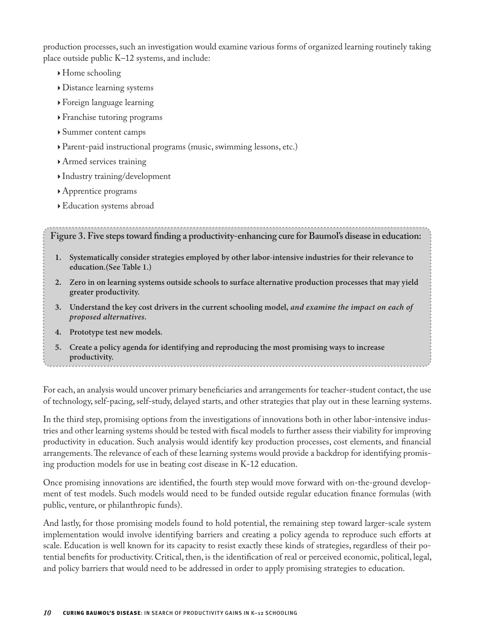production processes, such an investigation would examine various forms of organized learning routinely taking place outside public K–12 systems, and include:

- $\rightarrow$  Home schooling
- } Distance learning systems
- } Foreign language learning
- } Franchise tutoring programs
- } Summer content camps
- } Parent-paid instructional programs (music, swimming lessons, etc.)
- } Armed services training
- } Industry training/development
- } Apprentice programs
- }Education systems abroad

**Figure 3. Five steps toward finding a productivity-enhancing cure for Baumol's disease in education:** 

- **1. Systematically consider strategies employed by other labor-intensive industries for their relevance to education.(See Table 1.)**
- **2. Zero in on learning systems outside schools to surface alternative production processes that may yield greater productivity.**
- **3. Understand the key cost drivers in the current schooling model,** *and examine the impact on each of proposed alternatives.*
- **4. Prototype test new models.**
- **5. Create a policy agenda for identifying and reproducing the most promising ways to increase productivity.**

For each, an analysis would uncover primary beneficiaries and arrangements for teacher-student contact, the use of technology, self-pacing, self-study, delayed starts, and other strategies that play out in these learning systems.

In the third step, promising options from the investigations of innovations both in other labor-intensive industries and other learning systems should be tested with fiscal models to further assess their viability for improving productivity in education. Such analysis would identify key production processes, cost elements, and financial arrangements. The relevance of each of these learning systems would provide a backdrop for identifying promising production models for use in beating cost disease in K-12 education.

Once promising innovations are identified, the fourth step would move forward with on-the-ground development of test models. Such models would need to be funded outside regular education finance formulas (with public, venture, or philanthropic funds).

And lastly, for those promising models found to hold potential, the remaining step toward larger-scale system implementation would involve identifying barriers and creating a policy agenda to reproduce such efforts at scale. Education is well known for its capacity to resist exactly these kinds of strategies, regardless of their potential benefits for productivity. Critical, then, is the identification of real or perceived economic, political, legal, and policy barriers that would need to be addressed in order to apply promising strategies to education.